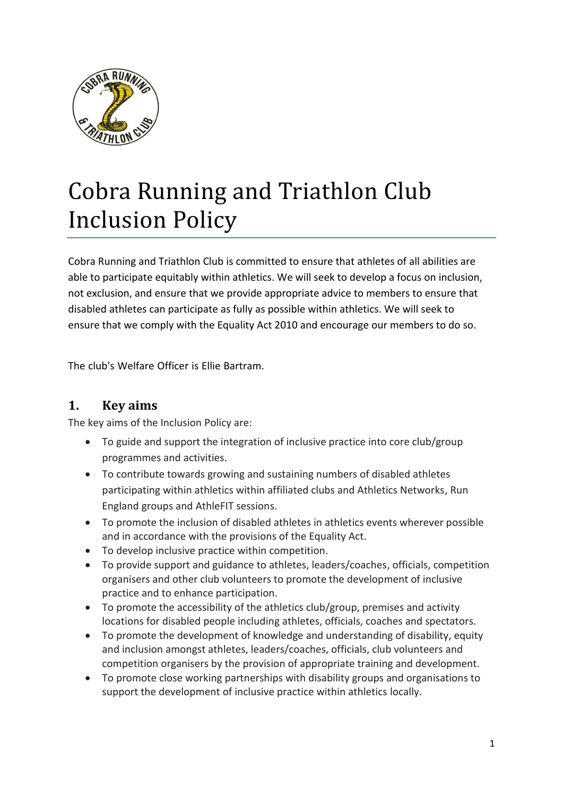

# Cobra Running and Triathlon Club Inclusion Policy

Cobra Running and Triathlon Club is committed to ensure that athletes of all abilities are able to participate equitably within athletics. We will seek to develop a focus on inclusion, not exclusion, and ensure that we provide appropriate advice to members to ensure that disabled athletes can participate as fully as possible within athletics. We will seek to ensure that we comply with the Equality Act 2010 and encourage our members to do so.

The club's Welfare Officer is Ellie Bartram.

## **1. Key aims**

The key aims of the Inclusion Policy are:

- To guide and support the integration of inclusive practice into core club/group programmes and activities.
- To contribute towards growing and sustaining numbers of disabled athletes participating within athletics within affiliated clubs and Athletics Networks, Run England groups and AthleFIT sessions.
- To promote the inclusion of disabled athletes in athletics events wherever possible and in accordance with the provisions of the Equality Act.
- To develop inclusive practice within competition.
- To provide support and guidance to athletes, leaders/coaches, officials, competition organisers and other club volunteers to promote the development of inclusive practice and to enhance participation.
- To promote the accessibility of the athletics club/group, premises and activity locations for disabled people including athletes, officials, coaches and spectators.
- To promote the development of knowledge and understanding of disability, equity and inclusion amongst athletes, leaders/coaches, officials, club volunteers and competition organisers by the provision of appropriate training and development.
- To promote close working partnerships with disability groups and organisations to support the development of inclusive practice within athletics locally.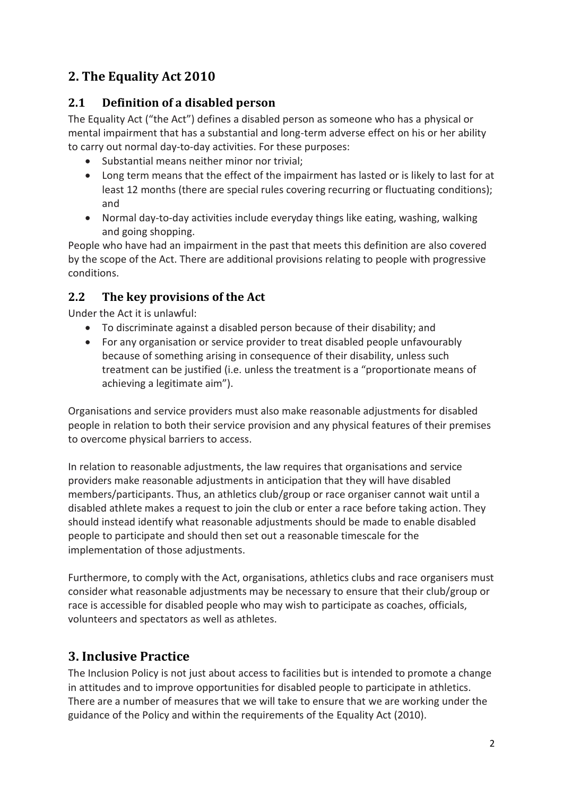# **2. The Equality Act 2010**

## **2.1 Definition of a disabled person**

The Equality Act ("the Act") defines a disabled person as someone who has a physical or mental impairment that has a substantial and long-term adverse effect on his or her ability to carry out normal day-to-day activities. For these purposes:

- Substantial means neither minor nor trivial;
- Long term means that the effect of the impairment has lasted or is likely to last for at least 12 months (there are special rules covering recurring or fluctuating conditions); and
- Normal day-to-day activities include everyday things like eating, washing, walking and going shopping.

People who have had an impairment in the past that meets this definition are also covered by the scope of the Act. There are additional provisions relating to people with progressive conditions.

## **2.2 The key provisions of the Act**

Under the Act it is unlawful:

- To discriminate against a disabled person because of their disability; and
- For any organisation or service provider to treat disabled people unfavourably because of something arising in consequence of their disability, unless such treatment can be justified (i.e. unless the treatment is a "proportionate means of achieving a legitimate aim").

Organisations and service providers must also make reasonable adjustments for disabled people in relation to both their service provision and any physical features of their premises to overcome physical barriers to access.

In relation to reasonable adjustments, the law requires that organisations and service providers make reasonable adjustments in anticipation that they will have disabled members/participants. Thus, an athletics club/group or race organiser cannot wait until a disabled athlete makes a request to join the club or enter a race before taking action. They should instead identify what reasonable adjustments should be made to enable disabled people to participate and should then set out a reasonable timescale for the implementation of those adjustments.

Furthermore, to comply with the Act, organisations, athletics clubs and race organisers must consider what reasonable adjustments may be necessary to ensure that their club/group or race is accessible for disabled people who may wish to participate as coaches, officials, volunteers and spectators as well as athletes.

# **3. Inclusive Practice**

The Inclusion Policy is not just about access to facilities but is intended to promote a change in attitudes and to improve opportunities for disabled people to participate in athletics. There are a number of measures that we will take to ensure that we are working under the guidance of the Policy and within the requirements of the Equality Act (2010).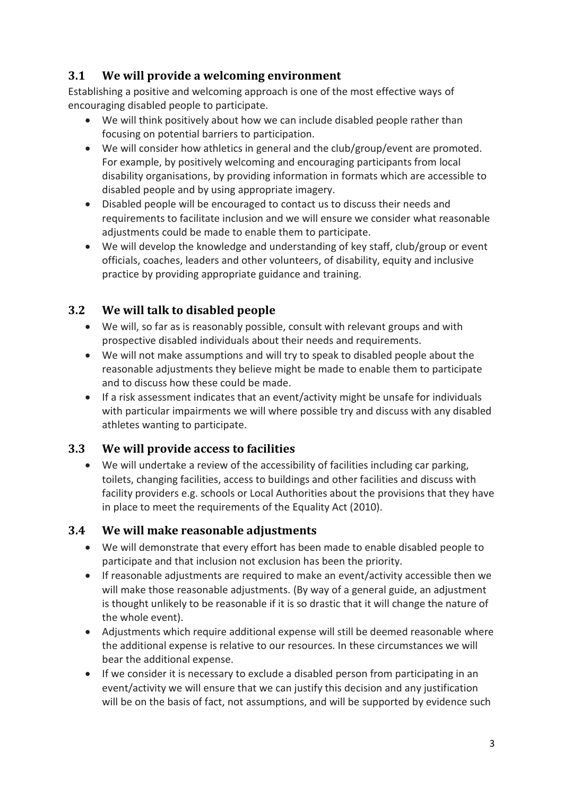## **3.1 We will provide a welcoming environment**

Establishing a positive and welcoming approach is one of the most effective ways of encouraging disabled people to participate.

- We will think positively about how we can include disabled people rather than focusing on potential barriers to participation.
- We will consider how athletics in general and the club/group/event are promoted. For example, by positively welcoming and encouraging participants from local disability organisations, by providing information in formats which are accessible to disabled people and by using appropriate imagery.
- Disabled people will be encouraged to contact us to discuss their needs and requirements to facilitate inclusion and we will ensure we consider what reasonable adjustments could be made to enable them to participate.
- We will develop the knowledge and understanding of key staff, club/group or event officials, coaches, leaders and other volunteers, of disability, equity and inclusive practice by providing appropriate guidance and training.

## **3.2 We will talk to disabled people**

- We will, so far as is reasonably possible, consult with relevant groups and with prospective disabled individuals about their needs and requirements.
- We will not make assumptions and will try to speak to disabled people about the reasonable adjustments they believe might be made to enable them to participate and to discuss how these could be made.
- If a risk assessment indicates that an event/activity might be unsafe for individuals with particular impairments we will where possible try and discuss with any disabled athletes wanting to participate.

## **3.3 We will provide access to facilities**

• We will undertake a review of the accessibility of facilities including car parking, toilets, changing facilities, access to buildings and other facilities and discuss with facility providers e.g. schools or Local Authorities about the provisions that they have in place to meet the requirements of the Equality Act (2010).

## **3.4 We will make reasonable adjustments**

- We will demonstrate that every effort has been made to enable disabled people to participate and that inclusion not exclusion has been the priority.
- If reasonable adjustments are required to make an event/activity accessible then we will make those reasonable adjustments. (By way of a general guide, an adjustment is thought unlikely to be reasonable if it is so drastic that it will change the nature of the whole event).
- Adjustments which require additional expense will still be deemed reasonable where the additional expense is relative to our resources. In these circumstances we will bear the additional expense.
- If we consider it is necessary to exclude a disabled person from participating in an event/activity we will ensure that we can justify this decision and any justification will be on the basis of fact, not assumptions, and will be supported by evidence such